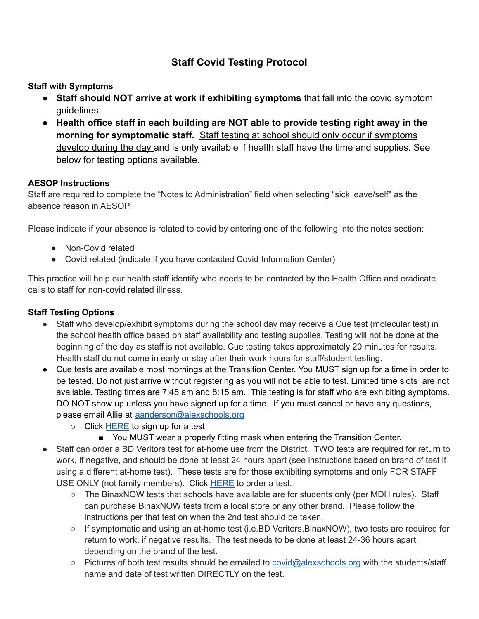# **Staff Covid Testing Protocol**

**Staff with Symptoms**

- **Staff should NOT arrive at work if exhibiting symptoms** that fall into the covid symptom guidelines.
- **Health office staff in each building are NOT able to provide testing right away in the morning for symptomatic staff.** Staff testing at school should only occur if symptoms develop during the day and is only available if health staff have the time and supplies. See below for testing options available.

## **AESOP Instructions**

Staff are required to complete the "Notes to Administration" field when selecting "sick leave/self" as the absence reason in AESOP.

Please indicate if your absence is related to covid by entering one of the following into the notes section:

- Non-Covid related
- Covid related (indicate if you have contacted Covid Information Center)

This practice will help our health staff identify who needs to be contacted by the Health Office and eradicate calls to staff for non-covid related illness.

#### **Staff Testing Options**

- Staff who develop/exhibit symptoms during the school day may receive a Cue test (molecular test) in the school health office based on staff availability and testing supplies. Testing will not be done at the beginning of the day as staff is not available. Cue testing takes approximately 20 minutes for results. Health staff do not come in early or stay after their work hours for staff/student testing.
- Cue tests are available most mornings at the Transition Center. You MUST sign up for a time in order to be tested. Do not just arrive without registering as you will not be able to test. Limited time slots are not available. Testing times are 7:45 am and 8:15 am. This testing is for staff who are exhibiting symptoms. DO NOT show up unless you have signed up for a time. If you must cancel or have any questions, please email Allie at [aanderson@alexschools.org](mailto:aanderson@alexschools.org)
	- Click [HERE](https://forms.gle/EDYbv8ueDpSoVkKb8) to sign up for a test
		- You MUST wear a properly fitting mask when entering the Transition Center.
- Staff can order a BD Veritors test for at-home use from the District. TWO tests are required for return to work, if negative, and should be done at least 24 hours apart (see instructions based on brand of test if using a different at-home test). These tests are for those exhibiting symptoms and only FOR STAFF USE ONLY (not family members). Click [HERE](https://forms.gle/HETCcZo6b7nkznLu6) to order a test.
	- $\circ$  The BinaxNOW tests that schools have available are for students only (per MDH rules). Staff can purchase BinaxNOW tests from a local store or any other brand. Please follow the instructions per that test on when the 2nd test should be taken.
	- If symptomatic and using an at-home test (i.e.BD Veritors, BinaxNOW), two tests are required for return to work, if negative results. The test needs to be done at least 24-36 hours apart, depending on the brand of the test.
	- Pictures of both test results should be emailed to [covid@alexschools.org](mailto:covid@alexschools.org) with the students/staff name and date of test written DIRECTLY on the test.